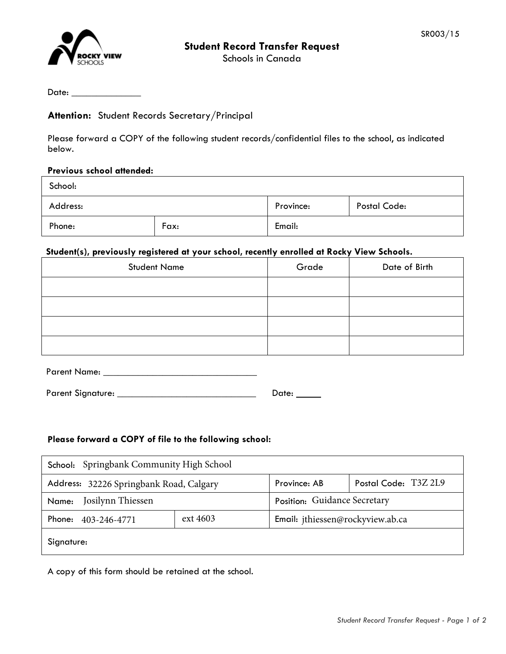

Schools in Canada

Date:

## **Attention:** Student Records Secretary/Principal

Please forward a COPY of the following student records/confidential files to the school, as indicated below.

### **Previous school attended:**

| School:  |      |           |              |
|----------|------|-----------|--------------|
| Address: |      | Province: | Postal Code: |
| Phone:   | Fax: | Email:    |              |

# **Student(s), previously registered at your school, recently enrolled at Rocky View Schools.**

| <b>Student Name</b> | Grade | Date of Birth |
|---------------------|-------|---------------|
|                     |       |               |
|                     |       |               |
|                     |       |               |
|                     |       |               |

| <b>Parent Name:</b> |  |
|---------------------|--|
|                     |  |
|                     |  |

| <b>Parent Signature:</b> | Date: |  |
|--------------------------|-------|--|
|                          |       |  |

### **Please forward a COPY of file to the following school:**

| School: Springbank Community High School |          |                                  |                      |
|------------------------------------------|----------|----------------------------------|----------------------|
| Address: 32226 Springbank Road, Calgary  |          | Province: AB                     | Postal Code: T3Z 2L9 |
| Josilynn Thiessen<br>Name:               |          | Position: Guidance Secretary     |                      |
| Phone: 403-246-4771                      | ext 4603 | Email: jthiessen@rockyview.ab.ca |                      |
| Signature:                               |          |                                  |                      |

A copy of this form should be retained at the school.